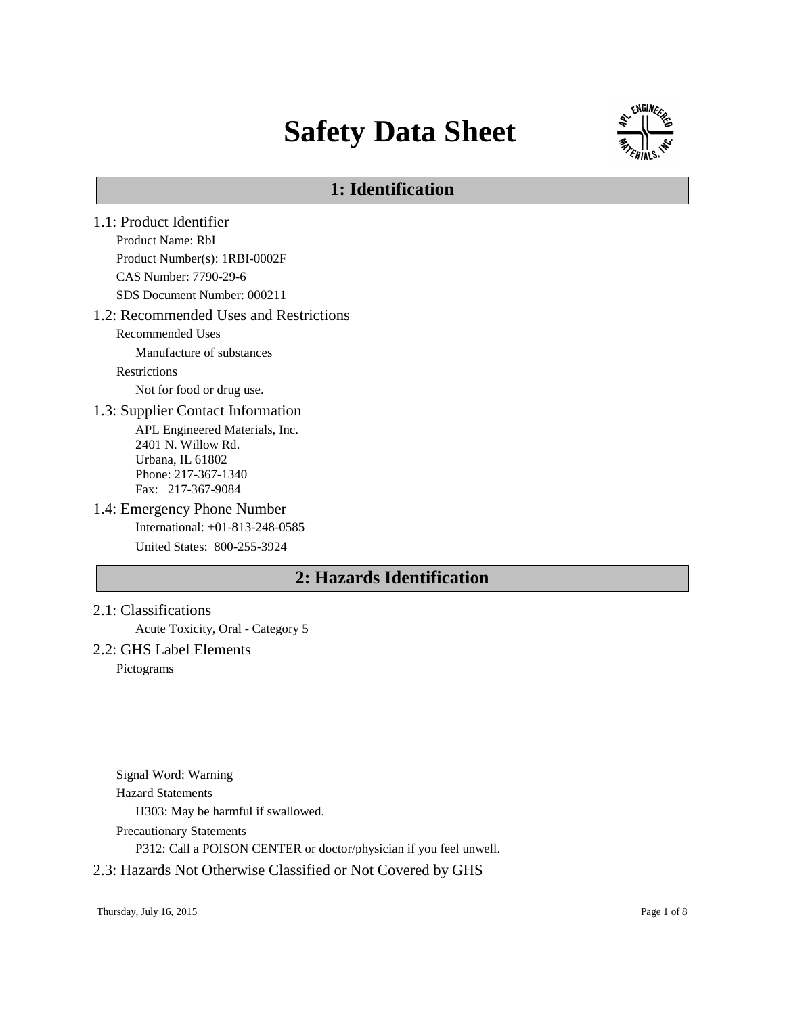# **Safety Data Sheet**



# **1: Identification**

- 1.1: Product Identifier Product Name: RbI Product Number(s): 1RBI-0002F CAS Number: 7790-29-6 SDS Document Number: 000211 1.2: Recommended Uses and Restrictions Recommended Uses Manufacture of substances **Restrictions** Not for food or drug use. 1.3: Supplier Contact Information APL Engineered Materials, Inc. 2401 N. Willow Rd. Urbana, IL 61802 Phone: 217-367-1340 Fax: 217-367-9084 1.4: Emergency Phone Number International: +01-813-248-0585 United States: 800-255-3924 **2: Hazards Identification**
- 2.1: Classifications Acute Toxicity, Oral - Category 5 2.2: GHS Label Elements

Pictograms

Signal Word: Warning Hazard Statements H303: May be harmful if swallowed. Precautionary Statements P312: Call a POISON CENTER or doctor/physician if you feel unwell.

### 2.3: Hazards Not Otherwise Classified or Not Covered by GHS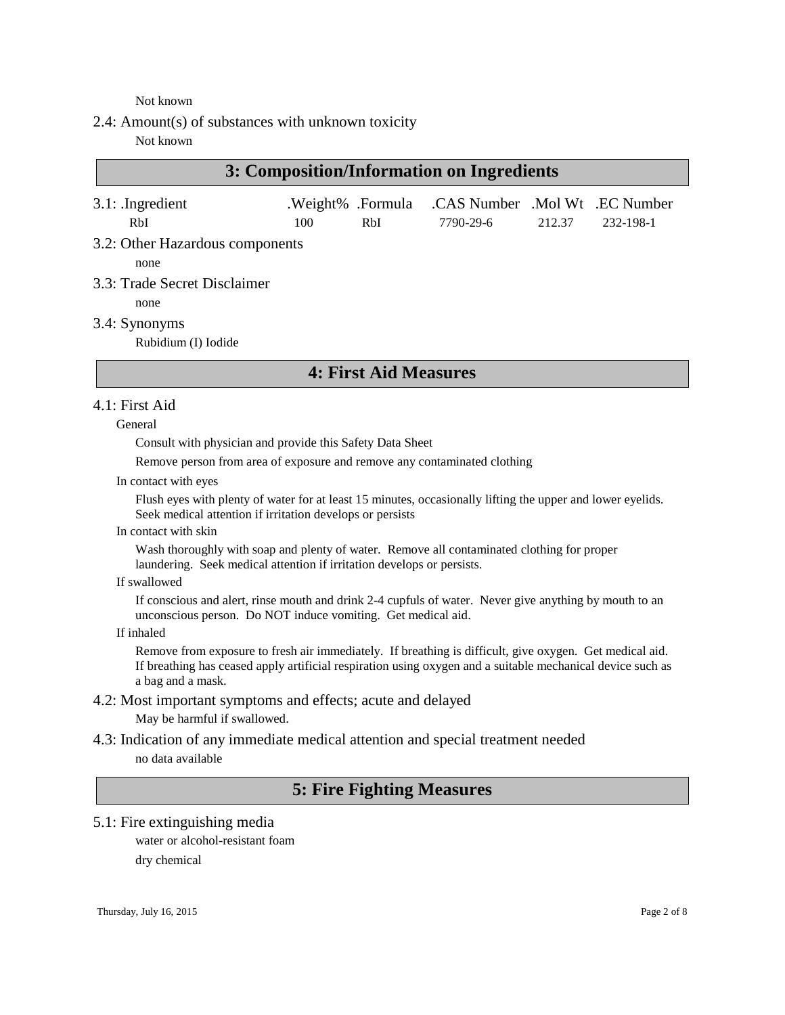#### Not known

2.4: Amount(s) of substances with unknown toxicity

#### Not known

| 3: Composition/Information on Ingredients |     |     |                                                  |        |           |
|-------------------------------------------|-----|-----|--------------------------------------------------|--------|-----------|
| $3.1:$ Ingredient                         |     |     | .Weight% .Formula .CAS Number .Mol Wt .EC Number |        |           |
| RbI<br>3.2: Other Hazardous components    | 100 | RbI | 7790-29-6                                        | 212.37 | 232-198-1 |
| none                                      |     |     |                                                  |        |           |
| 3.3: Trade Secret Disclaimer              |     |     |                                                  |        |           |
| none                                      |     |     |                                                  |        |           |

3.4: Synonyms

Rubidium (I) Iodide

# **4: First Aid Measures**

#### 4.1: First Aid

General

Consult with physician and provide this Safety Data Sheet

Remove person from area of exposure and remove any contaminated clothing

In contact with eyes

Flush eyes with plenty of water for at least 15 minutes, occasionally lifting the upper and lower eyelids. Seek medical attention if irritation develops or persists

In contact with skin

Wash thoroughly with soap and plenty of water. Remove all contaminated clothing for proper laundering. Seek medical attention if irritation develops or persists.

If swallowed

If conscious and alert, rinse mouth and drink 2-4 cupfuls of water. Never give anything by mouth to an unconscious person. Do NOT induce vomiting. Get medical aid.

If inhaled

Remove from exposure to fresh air immediately. If breathing is difficult, give oxygen. Get medical aid. If breathing has ceased apply artificial respiration using oxygen and a suitable mechanical device such as a bag and a mask.

4.2: Most important symptoms and effects; acute and delayed May be harmful if swallowed.

4.3: Indication of any immediate medical attention and special treatment needed no data available

# **5: Fire Fighting Measures**

5.1: Fire extinguishing media

water or alcohol-resistant foam dry chemical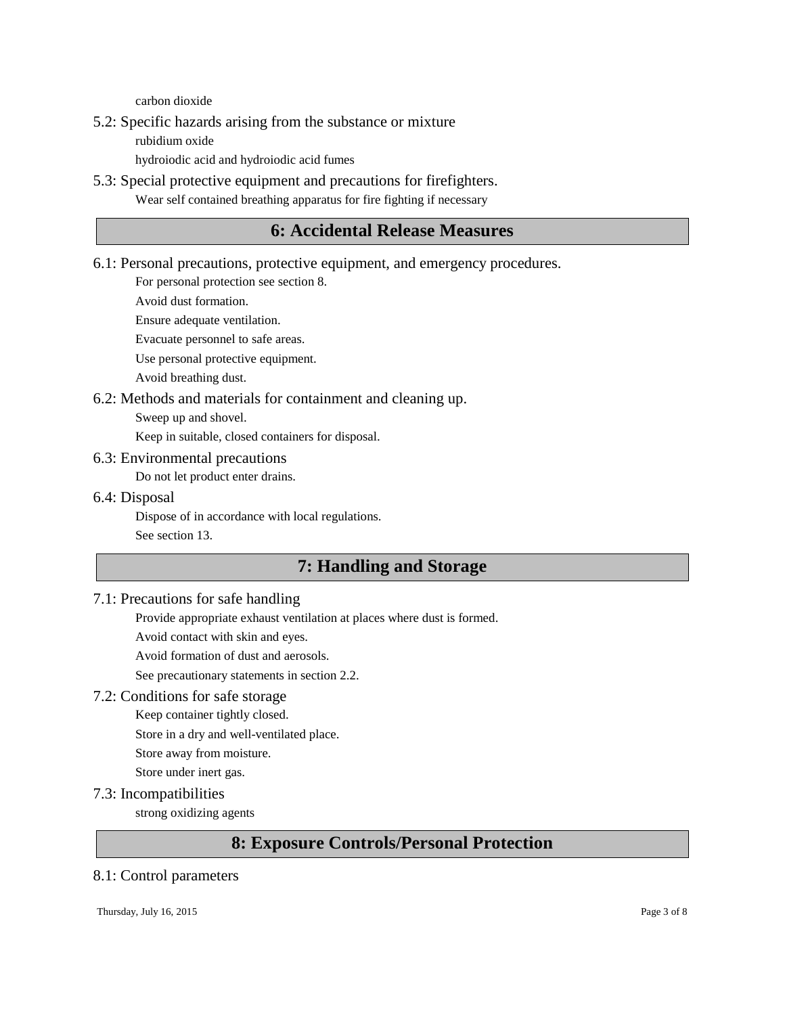carbon dioxide

5.2: Specific hazards arising from the substance or mixture

rubidium oxide

hydroiodic acid and hydroiodic acid fumes

5.3: Special protective equipment and precautions for firefighters. Wear self contained breathing apparatus for fire fighting if necessary

# **6: Accidental Release Measures**

6.1: Personal precautions, protective equipment, and emergency procedures.

For personal protection see section 8.

Avoid dust formation.

Ensure adequate ventilation.

Evacuate personnel to safe areas.

Use personal protective equipment.

Avoid breathing dust.

- 6.2: Methods and materials for containment and cleaning up.
	- Sweep up and shovel.

Keep in suitable, closed containers for disposal.

#### 6.3: Environmental precautions

Do not let product enter drains.

#### 6.4: Disposal

Dispose of in accordance with local regulations. See section 13.

# **7: Handling and Storage**

### 7.1: Precautions for safe handling

Provide appropriate exhaust ventilation at places where dust is formed.

Avoid contact with skin and eyes.

Avoid formation of dust and aerosols.

See precautionary statements in section 2.2.

### 7.2: Conditions for safe storage

Keep container tightly closed.

Store in a dry and well-ventilated place.

Store away from moisture.

Store under inert gas.

7.3: Incompatibilities

strong oxidizing agents

# **8: Exposure Controls/Personal Protection**

### 8.1: Control parameters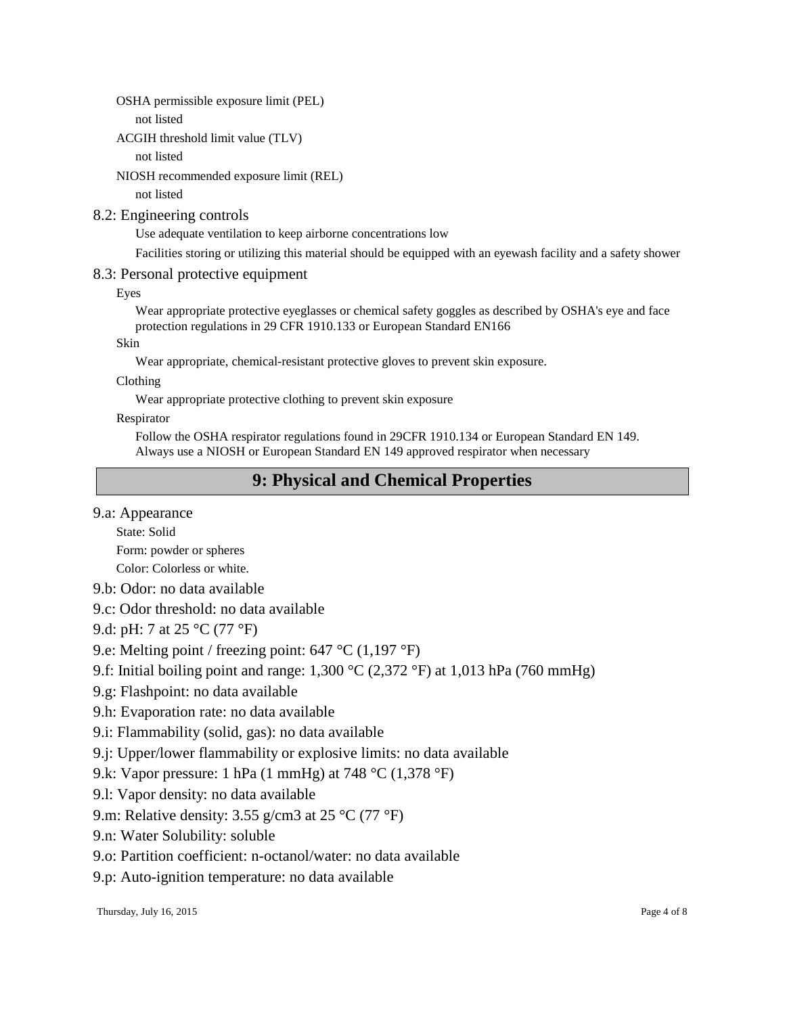OSHA permissible exposure limit (PEL)

not listed

ACGIH threshold limit value (TLV)

not listed

NIOSH recommended exposure limit (REL)

not listed

### 8.2: Engineering controls

Use adequate ventilation to keep airborne concentrations low

Facilities storing or utilizing this material should be equipped with an eyewash facility and a safety shower

### 8.3: Personal protective equipment

Eyes

Wear appropriate protective eyeglasses or chemical safety goggles as described by OSHA's eye and face protection regulations in 29 CFR 1910.133 or European Standard EN166

Skin

Wear appropriate, chemical-resistant protective gloves to prevent skin exposure.

Clothing

Wear appropriate protective clothing to prevent skin exposure

Respirator

Follow the OSHA respirator regulations found in 29CFR 1910.134 or European Standard EN 149. Always use a NIOSH or European Standard EN 149 approved respirator when necessary

# **9: Physical and Chemical Properties**

# 9.a: Appearance

State: Solid

Form: powder or spheres

Color: Colorless or white.

- 9.b: Odor: no data available
- 9.c: Odor threshold: no data available

9.d: pH: 7 at 25 °C (77 °F)

9.e: Melting point / freezing point: 647 °C (1,197 °F)

- 9.f: Initial boiling point and range: 1,300 °C (2,372 °F) at 1,013 hPa (760 mmHg)
- 9.g: Flashpoint: no data available
- 9.h: Evaporation rate: no data available
- 9.i: Flammability (solid, gas): no data available
- 9.j: Upper/lower flammability or explosive limits: no data available
- 9.k: Vapor pressure: 1 hPa (1 mmHg) at 748 °C (1,378 °F)
- 9.l: Vapor density: no data available
- 9.m: Relative density: 3.55 g/cm3 at 25  $\rm{^{\circ}C}$  (77  $\rm{^{\circ}F}$ )

9.n: Water Solubility: soluble

- 9.o: Partition coefficient: n-octanol/water: no data available
- 9.p: Auto-ignition temperature: no data available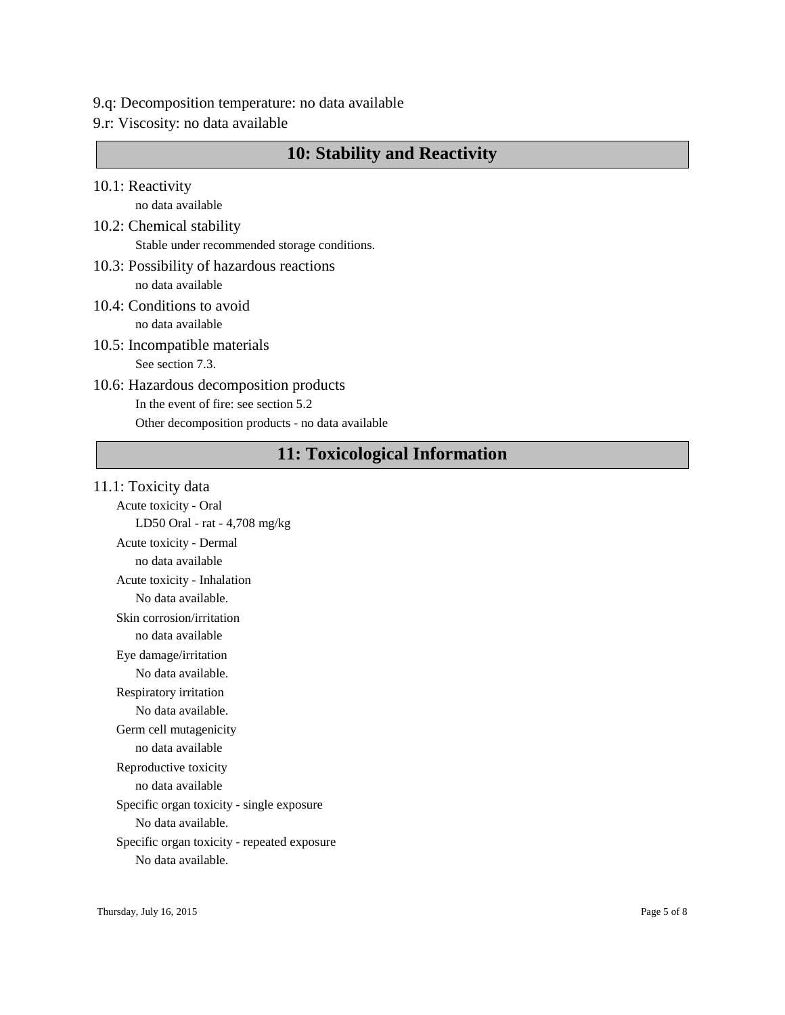- 9.q: Decomposition temperature: no data available
- 9.r: Viscosity: no data available

# **10: Stability and Reactivity**

10.1: Reactivity

no data available

- 10.2: Chemical stability Stable under recommended storage conditions.
- 10.3: Possibility of hazardous reactions no data available
- 10.4: Conditions to avoid no data available
- 10.5: Incompatible materials See section 7.3.
- 10.6: Hazardous decomposition products In the event of fire: see section 5.2 Other decomposition products - no data available

# **11: Toxicological Information**

11.1: Toxicity data Acute toxicity - Oral LD50 Oral - rat - 4,708 mg/kg Acute toxicity - Dermal no data available Acute toxicity - Inhalation No data available. Skin corrosion/irritation no data available Eye damage/irritation No data available. Respiratory irritation No data available. Germ cell mutagenicity no data available Reproductive toxicity no data available Specific organ toxicity - single exposure No data available. Specific organ toxicity - repeated exposure No data available.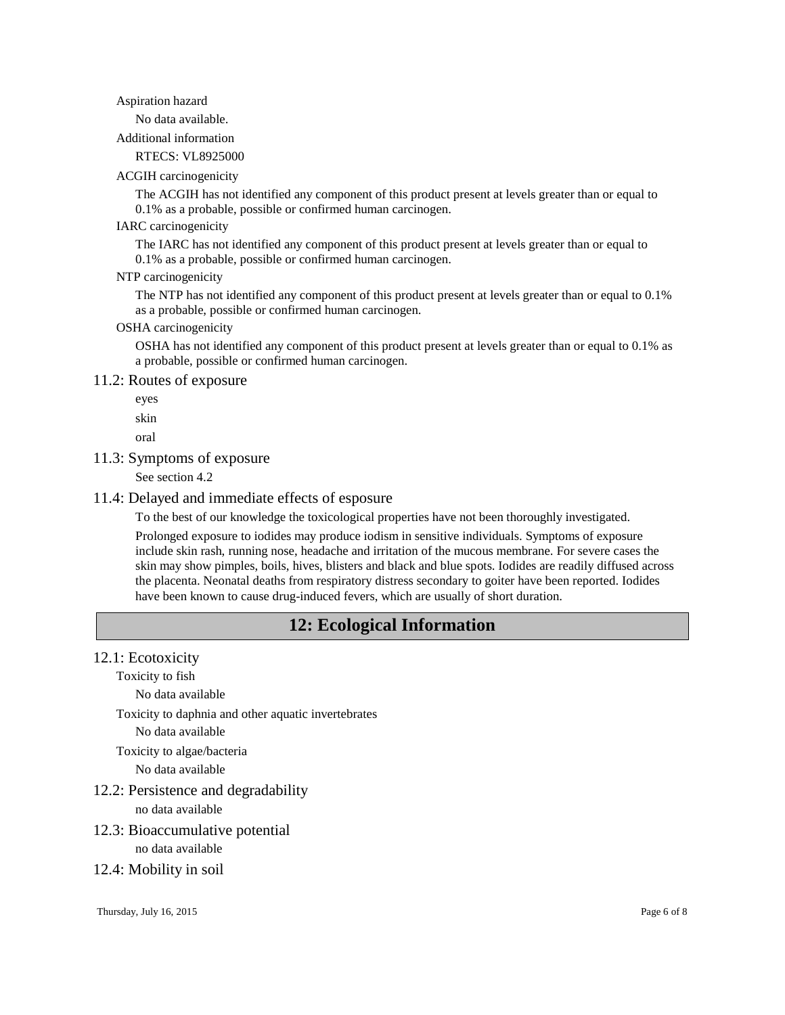#### Aspiration hazard

No data available.

Additional information

RTECS: VL8925000

#### ACGIH carcinogenicity

The ACGIH has not identified any component of this product present at levels greater than or equal to 0.1% as a probable, possible or confirmed human carcinogen.

#### IARC carcinogenicity

The IARC has not identified any component of this product present at levels greater than or equal to 0.1% as a probable, possible or confirmed human carcinogen.

#### NTP carcinogenicity

The NTP has not identified any component of this product present at levels greater than or equal to 0.1% as a probable, possible or confirmed human carcinogen.

#### OSHA carcinogenicity

OSHA has not identified any component of this product present at levels greater than or equal to 0.1% as a probable, possible or confirmed human carcinogen.

#### 11.2: Routes of exposure

eyes

skin

oral

#### 11.3: Symptoms of exposure

See section 4.2

#### 11.4: Delayed and immediate effects of esposure

To the best of our knowledge the toxicological properties have not been thoroughly investigated.

Prolonged exposure to iodides may produce iodism in sensitive individuals. Symptoms of exposure include skin rash, running nose, headache and irritation of the mucous membrane. For severe cases the skin may show pimples, boils, hives, blisters and black and blue spots. Iodides are readily diffused across the placenta. Neonatal deaths from respiratory distress secondary to goiter have been reported. Iodides have been known to cause drug-induced fevers, which are usually of short duration.

# **12: Ecological Information**

#### 12.1: Ecotoxicity

Toxicity to fish

No data available

Toxicity to daphnia and other aquatic invertebrates

No data available

Toxicity to algae/bacteria

No data available

12.2: Persistence and degradability

no data available

12.3: Bioaccumulative potential

no data available

#### 12.4: Mobility in soil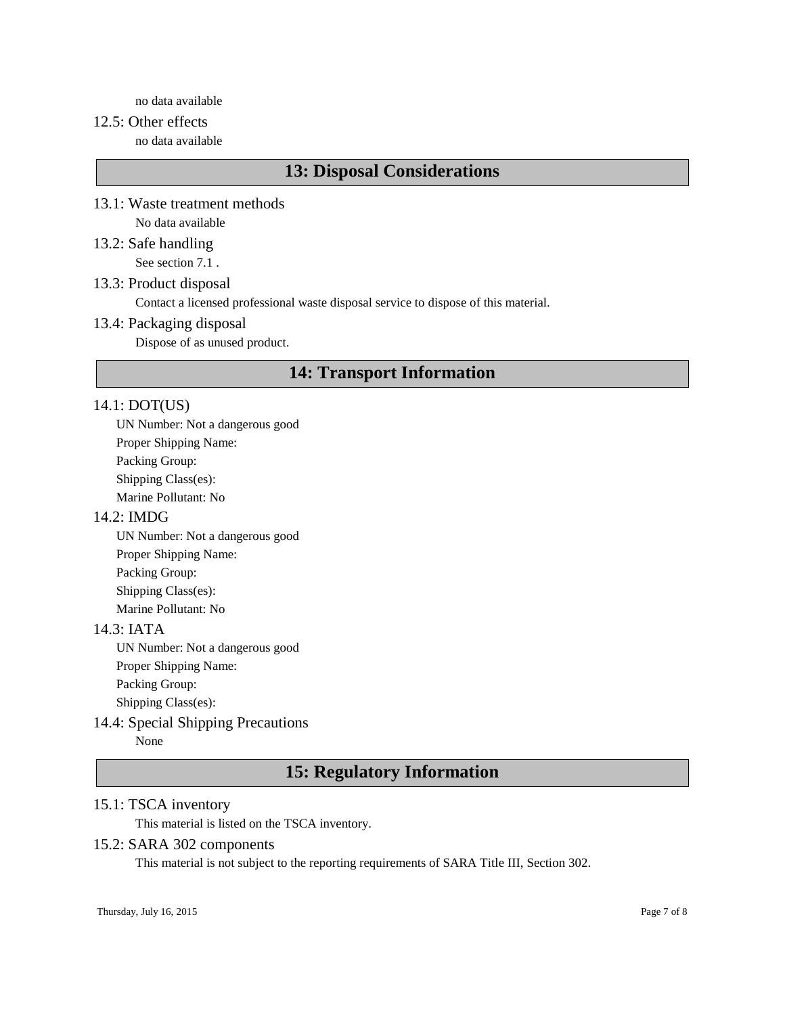no data available

### 12.5: Other effects

no data available

# **13: Disposal Considerations**

- 13.1: Waste treatment methods No data available
- 13.2: Safe handling See section 7.1 .

#### 13.3: Product disposal

Contact a licensed professional waste disposal service to dispose of this material.

#### 13.4: Packaging disposal

Dispose of as unused product.

# **14: Transport Information**

#### 14.1: DOT(US)

UN Number: Not a dangerous good Proper Shipping Name: Packing Group: Shipping Class(es): Marine Pollutant: No

#### 14.2: IMDG

UN Number: Not a dangerous good Proper Shipping Name: Packing Group: Shipping Class(es): Marine Pollutant: No

### 14.3: IATA

UN Number: Not a dangerous good Proper Shipping Name: Packing Group:

Shipping Class(es):

# 14.4: Special Shipping Precautions

None

# **15: Regulatory Information**

### 15.1: TSCA inventory

This material is listed on the TSCA inventory.

#### 15.2: SARA 302 components

This material is not subject to the reporting requirements of SARA Title III, Section 302.